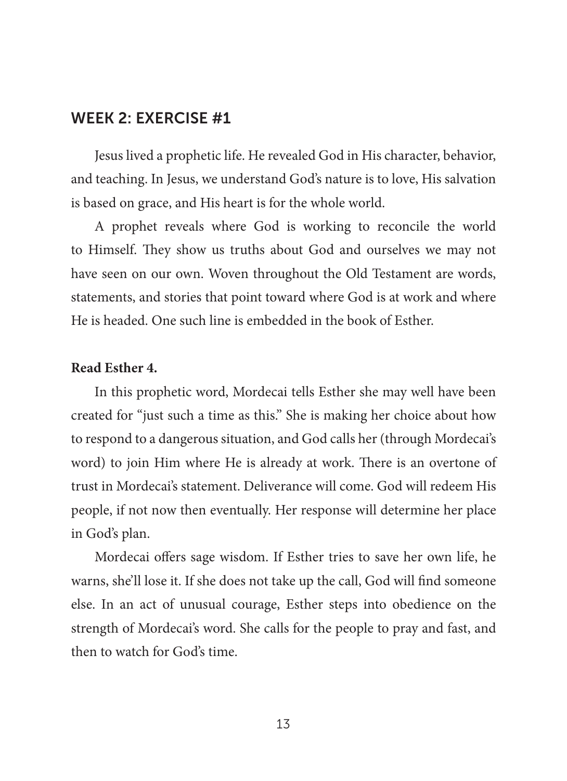Jesus lived a prophetic life. He revealed God in His character, behavior, and teaching. In Jesus, we understand God's nature is to love, His salvation is based on grace, and His heart is for the whole world.

A prophet reveals where God is working to reconcile the world to Himself. They show us truths about God and ourselves we may not have seen on our own. Woven throughout the Old Testament are words, statements, and stories that point toward where God is at work and where He is headed. One such line is embedded in the book of Esther.

#### **Read Esther 4.**

In this prophetic word, Mordecai tells Esther she may well have been created for "just such a time as this." She is making her choice about how to respond to a dangerous situation, and God calls her (through Mordecai's word) to join Him where He is already at work. There is an overtone of trust in Mordecai's statement. Deliverance will come. God will redeem His people, if not now then eventually. Her response will determine her place in God's plan.

Mordecai offers sage wisdom. If Esther tries to save her own life, he warns, she'll lose it. If she does not take up the call, God will find someone else. In an act of unusual courage, Esther steps into obedience on the strength of Mordecai's word. She calls for the people to pray and fast, and then to watch for God's time.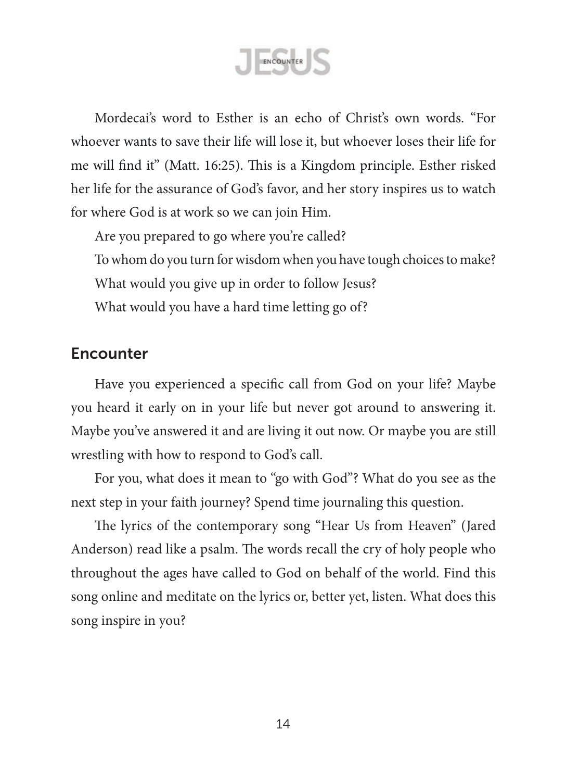ENCOUNTER

Mordecai's word to Esther is an echo of Christ's own words. "For whoever wants to save their life will lose it, but whoever loses their life for me will find it" (Matt. 16:25). This is a Kingdom principle. Esther risked her life for the assurance of God's favor, and her story inspires us to watch for where God is at work so we can join Him.

Are you prepared to go where you're called? To whom do you turn for wisdom when you have tough choices to make? What would you give up in order to follow Jesus? What would you have a hard time letting go of?

## **Encounter**

Have you experienced a specific call from God on your life? Maybe you heard it early on in your life but never got around to answering it. Maybe you've answered it and are living it out now. Or maybe you are still wrestling with how to respond to God's call.

For you, what does it mean to "go with God"? What do you see as the next step in your faith journey? Spend time journaling this question.

The lyrics of the contemporary song "Hear Us from Heaven" (Jared Anderson) read like a psalm. The words recall the cry of holy people who throughout the ages have called to God on behalf of the world. Find this song online and meditate on the lyrics or, better yet, listen. What does this song inspire in you?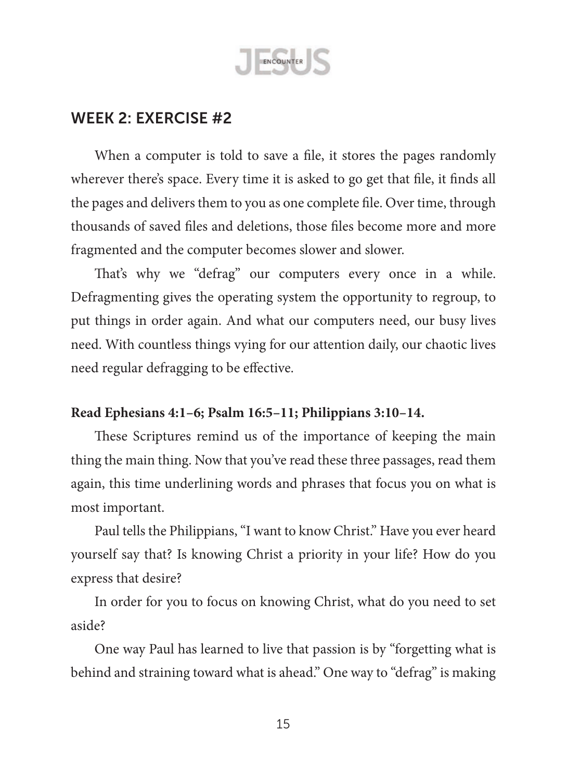

When a computer is told to save a file, it stores the pages randomly wherever there's space. Every time it is asked to go get that file, it finds all the pages and delivers them to you as one complete file. Over time, through thousands of saved files and deletions, those files become more and more fragmented and the computer becomes slower and slower.

That's why we "defrag" our computers every once in a while. Defragmenting gives the operating system the opportunity to regroup, to put things in order again. And what our computers need, our busy lives need. With countless things vying for our attention daily, our chaotic lives need regular defragging to be effective.

### **Read Ephesians 4:1–6; Psalm 16:5–11; Philippians 3:10–14.**

These Scriptures remind us of the importance of keeping the main thing the main thing. Now that you've read these three passages, read them again, this time underlining words and phrases that focus you on what is most important.

Paul tells the Philippians,"I want to know Christ." Have you ever heard yourself say that? Is knowing Christ a priority in your life? How do you express that desire?

In order for you to focus on knowing Christ, what do you need to set aside?

One way Paul has learned to live that passion is by "forgetting what is behind and straining toward what is ahead." One way to "defrag" is making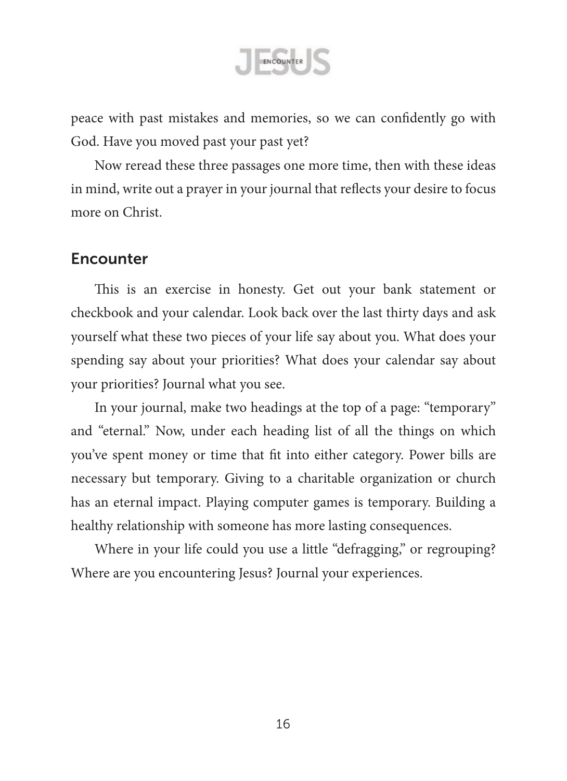

peace with past mistakes and memories, so we can confidently go with God. Have you moved past your past yet?

Now reread these three passages one more time, then with these ideas in mind, write out a prayer in your journal that reflects your desire to focus more on Christ.

### **Encounter**

This is an exercise in honesty. Get out your bank statement or checkbook and your calendar. Look back over the last thirty days and ask yourself what these two pieces of your life say about you. What does your spending say about your priorities? What does your calendar say about your priorities? Journal what you see.

In your journal, make two headings at the top of a page: "temporary" and "eternal." Now, under each heading list of all the things on which you've spent money or time that fit into either category. Power bills are necessary but temporary. Giving to a charitable organization or church has an eternal impact. Playing computer games is temporary. Building a healthy relationship with someone has more lasting consequences.

Where in your life could you use a little "defragging," or regrouping? Where are you encountering Jesus? Journal your experiences.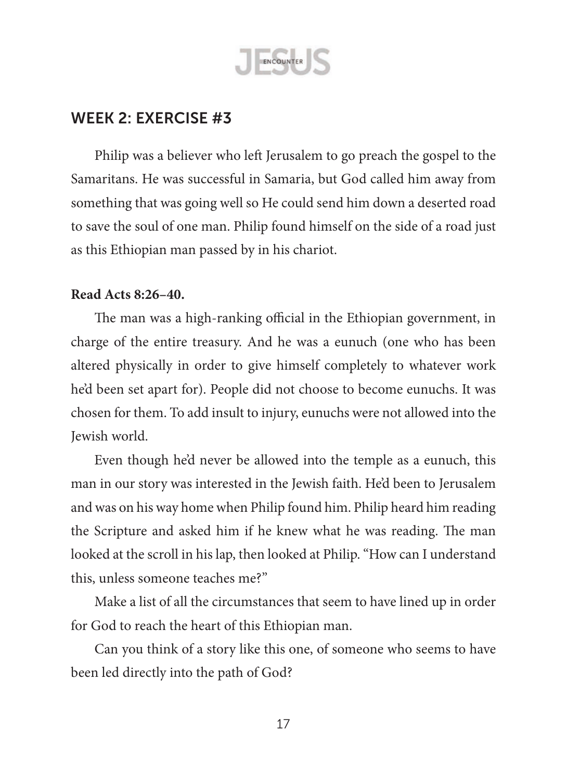

Philip was a believer who left Jerusalem to go preach the gospel to the Samaritans. He was successful in Samaria, but God called him away from something that was going well so He could send him down a deserted road to save the soul of one man. Philip found himself on the side of a road just as this Ethiopian man passed by in his chariot.

#### **Read Acts 8:26–40.**

The man was a high-ranking official in the Ethiopian government, in charge of the entire treasury. And he was a eunuch (one who has been altered physically in order to give himself completely to whatever work he'd been set apart for). People did not choose to become eunuchs. It was chosen for them. To add insult to injury, eunuchs were not allowed into the Jewish world.

Even though he'd never be allowed into the temple as a eunuch, this man in our story was interested in the Jewish faith. He'd been to Jerusalem and was on his way home when Philip found him. Philip heard him reading the Scripture and asked him if he knew what he was reading. The man looked at the scroll in his lap, then looked at Philip."How can I understand this, unless someone teaches me?"

Make a list of all the circumstances that seem to have lined up in order for God to reach the heart of this Ethiopian man.

Can you think of a story like this one, of someone who seems to have been led directly into the path of God?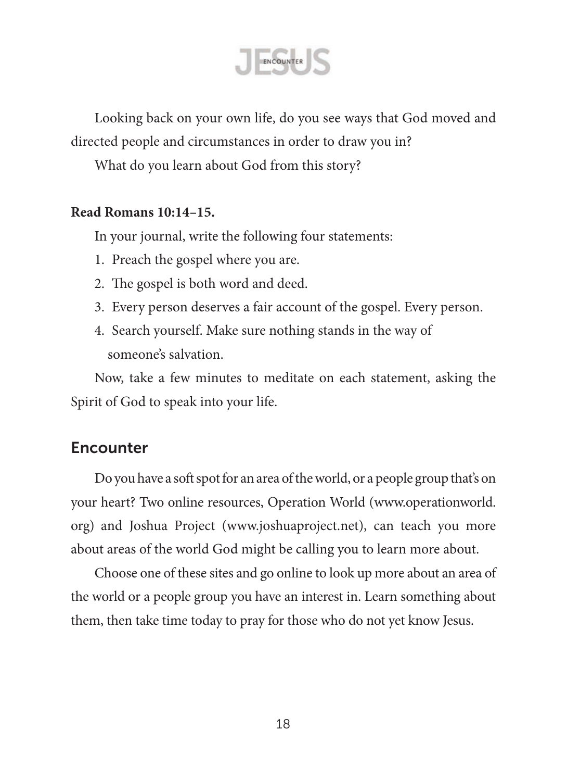

Looking back on your own life, do you see ways that God moved and directed people and circumstances in order to draw you in?

What do you learn about God from this story?

### **Read Romans 10:14–15.**

In your journal, write the following four statements:

- 1. Preach the gospel where you are.
- 2. The gospel is both word and deed.
- 3. Every person deserves a fair account of the gospel. Every person.
- 4. Search yourself. Make sure nothing stands in the way of someone's salvation.

Now, take a few minutes to meditate on each statement, asking the Spirit of God to speak into your life.

## **Encounter**

Do you have a soft spot for an area of the world, or a people group that's on your heart? Two online resources, Operation World ([www.operationworld.](www.operationworld.org) [org\)](www.operationworld.org) and Joshua Project (<www.joshuaproject.net>), can teach you more about areas of the world God might be calling you to learn more about.

Choose one of these sites and go online to look up more about an area of the world or a people group you have an interest in. Learn something about them, then take time today to pray for those who do not yet know Jesus.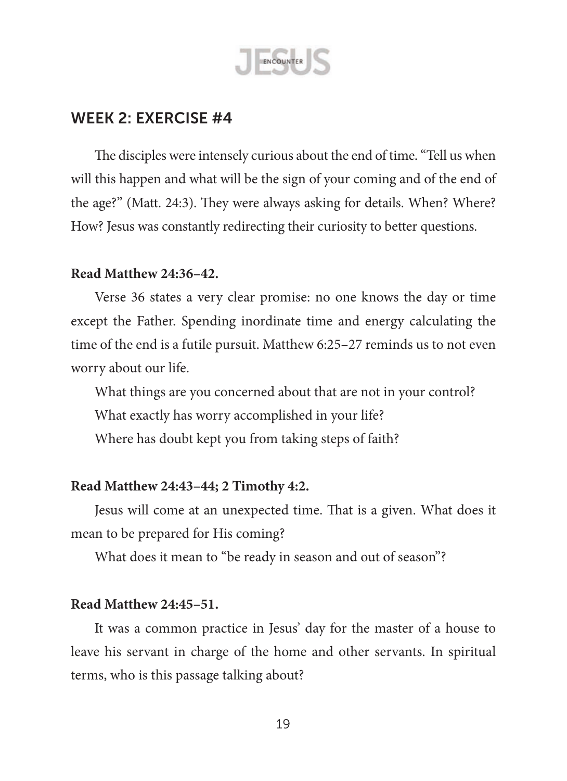

The disciples were intensely curious about the end of time."Tell us when will this happen and what will be the sign of your coming and of the end of the age?" (Matt. 24:3). They were always asking for details. When? Where? How? Jesus was constantly redirecting their curiosity to better questions.

#### **Read Matthew 24:36–42.**

Verse 36 states a very clear promise: no one knows the day or time except the Father. Spending inordinate time and energy calculating the time of the end is a futile pursuit. Matthew 6:25–27 reminds us to not even worry about our life.

What things are you concerned about that are not in your control? What exactly has worry accomplished in your life? Where has doubt kept you from taking steps of faith?

### **Read Matthew 24:43–44; 2 Timothy 4:2.**

Jesus will come at an unexpected time. That is a given. What does it mean to be prepared for His coming?

What does it mean to "be ready in season and out of season"?

#### **Read Matthew 24:45–51.**

It was a common practice in Jesus' day for the master of a house to leave his servant in charge of the home and other servants. In spiritual terms, who is this passage talking about?

19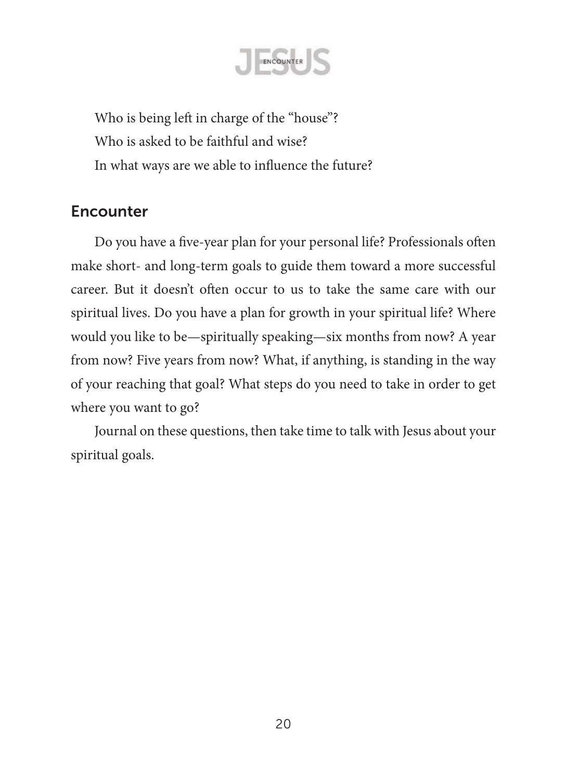

Who is being left in charge of the "house"? Who is asked to be faithful and wise? In what ways are we able to influence the future?

# **Encounter**

Do you have a five-year plan for your personal life? Professionals often make short- and long-term goals to guide them toward a more successful career. But it doesn't often occur to us to take the same care with our spiritual lives. Do you have a plan for growth in your spiritual life? Where would you like to be—spiritually speaking—six months from now? A year from now? Five years from now? What, if anything, is standing in the way of your reaching that goal? What steps do you need to take in order to get where you want to go?

Journal on these questions, then take time to talk with Jesus about your spiritual goals.